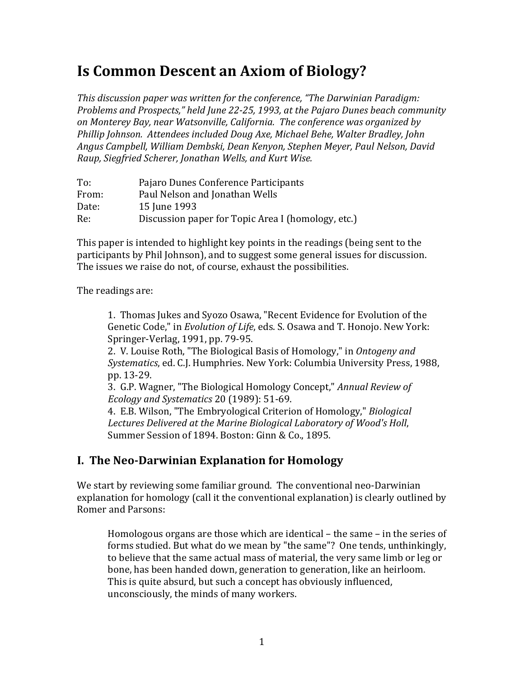# **Is Common Descent an Axiom of Biology?**

*This discussion paper was written for the conference, "The Darwinian Paradigm: Problems and Prospects," held June 22-25, 1993, at the Pajaro Dunes beach community on%Monterey%Bay,%near%Watsonville,%California. %The%conference%was%organized%by% Phillip%Johnson. %Attendees%included%Doug%Axe,%Michael%Behe,%Walter%Bradley,%John% Angus%Campbell,%William%Dembski,%Dean%Kenyon,%Stephen%Meyer,%Paul%Nelson,%David% Raup,%Siegfried%Scherer,%Jonathan%Wells,%and%Kurt%Wise.*

| To:   | Pajaro Dunes Conference Participants               |
|-------|----------------------------------------------------|
| From: | Paul Nelson and Jonathan Wells                     |
| Date: | 15 June 1993                                       |
| Re:   | Discussion paper for Topic Area I (homology, etc.) |

This paper is intended to highlight key points in the readings (being sent to the participants by Phil Johnson), and to suggest some general issues for discussion. The issues we raise do not, of course, exhaust the possibilities.

The readings are:

1. Thomas Jukes and Syozo Osawa, "Recent Evidence for Evolution of the Genetic Code," in *Evolution of Life*, eds. S. Osawa and T. Honojo. New York: Springer-Verlag, 1991, pp. 79-95.

2. V. Louise Roth, "The Biological Basis of Homology," in *Ontogeny and Systematics*, ed. C.J. Humphries. New York: Columbia University Press, 1988, pp. 13-29.

3. G.P. Wagner, "The Biological Homology Concept," *Annual Review of Ecology and Systematics* 20 (1989): 51-69.

4. E.B. Wilson, "The Embryological Criterion of Homology," *Biological* Lectures Delivered at the Marine Biological Laboratory of Wood's Holl, Summer Session of 1894. Boston: Ginn & Co., 1895.

## **I. The Neo-Darwinian Explanation for Homology**

We start by reviewing some familiar ground. The conventional neo-Darwinian explanation for homology (call it the conventional explanation) is clearly outlined by Romer and Parsons:

Homologous organs are those which are identical – the same – in the series of  $\overline{\phantom{a}}$ forms studied. But what do we mean by "the same"? One tends, unthinkingly, to believe that the same actual mass of material, the very same limb or leg or bone, has been handed down, generation to generation, like an heirloom. This is quite absurd, but such a concept has obviously influenced, unconsciously, the minds of many workers.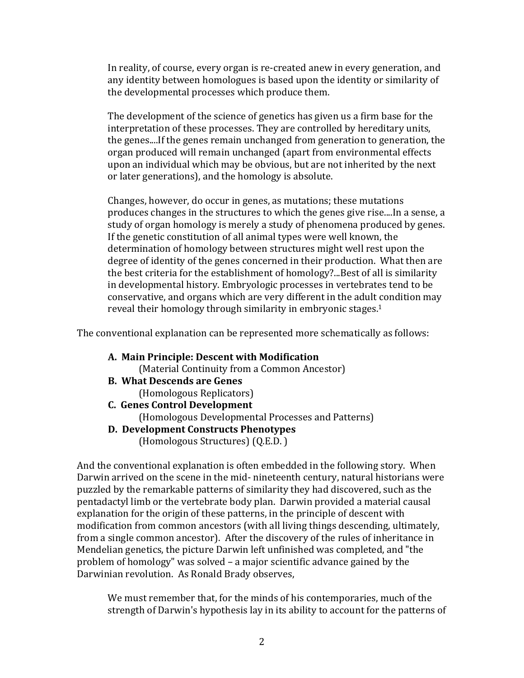In reality, of course, every organ is re-created anew in every generation, and any identity between homologues is based upon the identity or similarity of the developmental processes which produce them.

The development of the science of genetics has given us a firm base for the interpretation of these processes. They are controlled by hereditary units, the genes....If the genes remain unchanged from generation to generation, the organ produced will remain unchanged (apart from environmental effects upon an individual which may be obvious, but are not inherited by the next or later generations), and the homology is absolute.

Changes, however, do occur in genes, as mutations; these mutations produces changes in the structures to which the genes give rise....In a sense, a study of organ homology is merely a study of phenomena produced by genes. If the genetic constitution of all animal types were well known, the determination of homology between structures might well rest upon the degree of identity of the genes concerned in their production. What then are the best criteria for the establishment of homology?...Best of all is similarity in developmental history. Embryologic processes in vertebrates tend to be conservative, and organs which are very different in the adult condition may reveal their homology through similarity in embryonic stages.<sup>1</sup>

The conventional explanation can be represented more schematically as follows:

A. Main Principle: Descent with Modification

(Material Continuity from a Common Ancestor)

- **B.** What Descends are Genes
	- (Homologous Replicators)
- **C.** Genes Control Development (Homologous Developmental Processes and Patterns)
- **D.** Development Constructs Phenotypes

(Homologous Structures) (Q.E.D.)

And the conventional explanation is often embedded in the following story. When Darwin arrived on the scene in the mid- nineteenth century, natural historians were puzzled by the remarkable patterns of similarity they had discovered, such as the pentadactyl limb or the vertebrate body plan. Darwin provided a material causal explanation for the origin of these patterns, in the principle of descent with modification from common ancestors (with all living things descending, ultimately, from a single common ancestor). After the discovery of the rules of inheritance in Mendelian genetics, the picture Darwin left unfinished was completed, and "the problem of homology" was solved – a major scientific advance gained by the Darwinian revolution. As Ronald Brady observes,

We must remember that, for the minds of his contemporaries, much of the strength of Darwin's hypothesis lay in its ability to account for the patterns of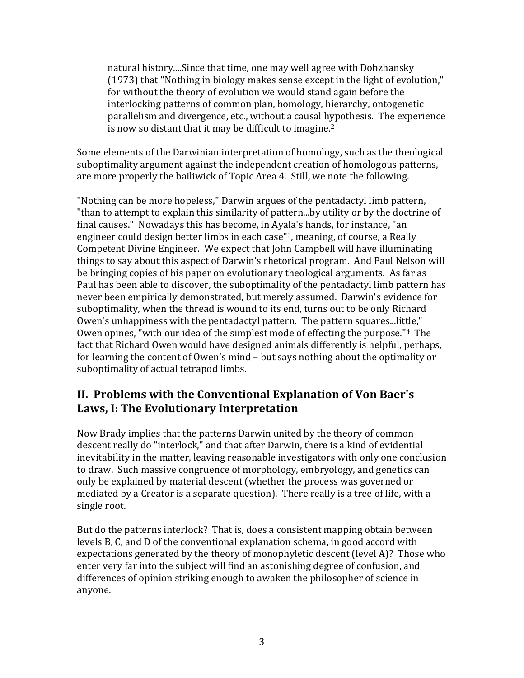natural history....Since that time, one may well agree with Dobzhansky  $(1973)$  that "Nothing in biology makes sense except in the light of evolution," for without the theory of evolution we would stand again before the interlocking patterns of common plan, homology, hierarchy, ontogenetic parallelism and divergence, etc., without a causal hypothesis. The experience is now so distant that it may be difficult to imagine.<sup>2</sup>

Some elements of the Darwinian interpretation of homology, such as the theological suboptimality argument against the independent creation of homologous patterns, are more properly the bailiwick of Topic Area 4. Still, we note the following.

"Nothing can be more hopeless," Darwin argues of the pentadactyl limb pattern, "than to attempt to explain this similarity of pattern...by utility or by the doctrine of final causes." Nowadays this has become, in Ayala's hands, for instance, "an engineer could design better limbs in each case"<sup>3</sup>, meaning, of course, a Really Competent Divine Engineer. We expect that John Campbell will have illuminating things to say about this aspect of Darwin's rhetorical program. And Paul Nelson will be bringing copies of his paper on evolutionary theological arguments. As far as Paul has been able to discover, the suboptimality of the pentadactyl limb pattern has never been empirically demonstrated, but merely assumed. Darwin's evidence for suboptimality, when the thread is wound to its end, turns out to be only Richard Owen's unhappiness with the pentadactyl pattern. The pattern squares...little," Owen opines, "with our idea of the simplest mode of effecting the purpose."<sup>4</sup> The fact that Richard Owen would have designed animals differently is helpful, perhaps, for learning the content of Owen's mind – but says nothing about the optimality or suboptimality of actual tetrapod limbs.

### **II. Problems with the Conventional Explanation of Von Baer's Laws, I: The Evolutionary Interpretation**

Now Brady implies that the patterns Darwin united by the theory of common descent really do "interlock," and that after Darwin, there is a kind of evidential inevitability in the matter, leaving reasonable investigators with only one conclusion to draw. Such massive congruence of morphology, embryology, and genetics can only be explained by material descent (whether the process was governed or mediated by a Creator is a separate question). There really is a tree of life, with a single root.

But do the patterns interlock? That is, does a consistent mapping obtain between levels B, C, and D of the conventional explanation schema, in good accord with expectations generated by the theory of monophyletic descent (level A)? Those who enter very far into the subject will find an astonishing degree of confusion, and differences of opinion striking enough to awaken the philosopher of science in anyone.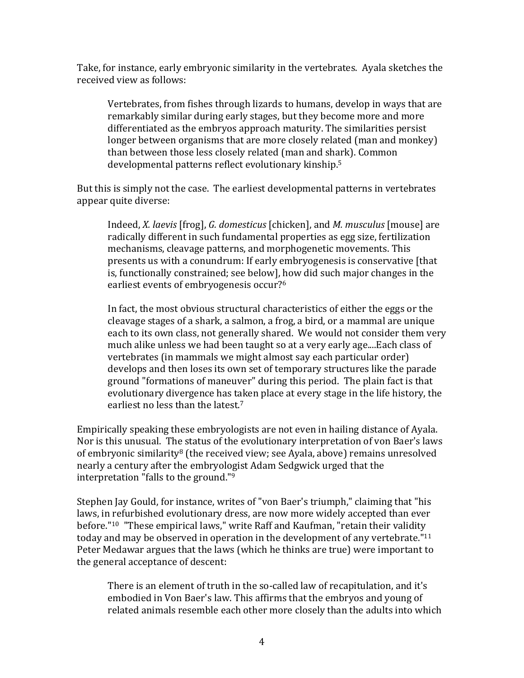Take, for instance, early embryonic similarity in the vertebrates. Ayala sketches the received view as follows:

Vertebrates, from fishes through lizards to humans, develop in ways that are remarkably similar during early stages, but they become more and more differentiated as the embryos approach maturity. The similarities persist longer between organisms that are more closely related (man and monkey) than between those less closely related (man and shark). Common developmental patterns reflect evolutionary kinship.<sup>5</sup>

But this is simply not the case. The earliest developmental patterns in vertebrates appear quite diverse:

Indeed, *X. laevis* [frog], *G. domesticus* [chicken], and *M. musculus* [mouse] are radically different in such fundamental properties as egg size, fertilization mechanisms, cleavage patterns, and morphogenetic movements. This presents us with a conundrum: If early embryogenesis is conservative [that] is, functionally constrained; see below], how did such major changes in the earliest events of embryogenesis occur?<sup>6</sup>

In fact, the most obvious structural characteristics of either the eggs or the cleavage stages of a shark, a salmon, a frog, a bird, or a mammal are unique each to its own class, not generally shared. We would not consider them very much alike unless we had been taught so at a very early age....Each class of vertebrates (in mammals we might almost say each particular order) develops and then loses its own set of temporary structures like the parade ground "formations of maneuver" during this period. The plain fact is that evolutionary divergence has taken place at every stage in the life history, the earliest no less than the latest.<sup>7</sup>

Empirically speaking these embryologists are not even in hailing distance of Ayala. Nor is this unusual. The status of the evolutionary interpretation of von Baer's laws of embryonic similarity<sup>8</sup> (the received view; see Ayala, above) remains unresolved nearly a century after the embryologist Adam Sedgwick urged that the interpretation "falls to the ground." $9$ 

Stephen Jay Gould, for instance, writes of "von Baer's triumph," claiming that "his laws, in refurbished evolutionary dress, are now more widely accepted than ever before."<sup>10</sup> "These empirical laws," write Raff and Kaufman, "retain their validity today and may be observed in operation in the development of any vertebrate." $11$ Peter Medawar argues that the laws (which he thinks are true) were important to the general acceptance of descent:

There is an element of truth in the so-called law of recapitulation, and it's embodied in Von Baer's law. This affirms that the embryos and young of related animals resemble each other more closely than the adults into which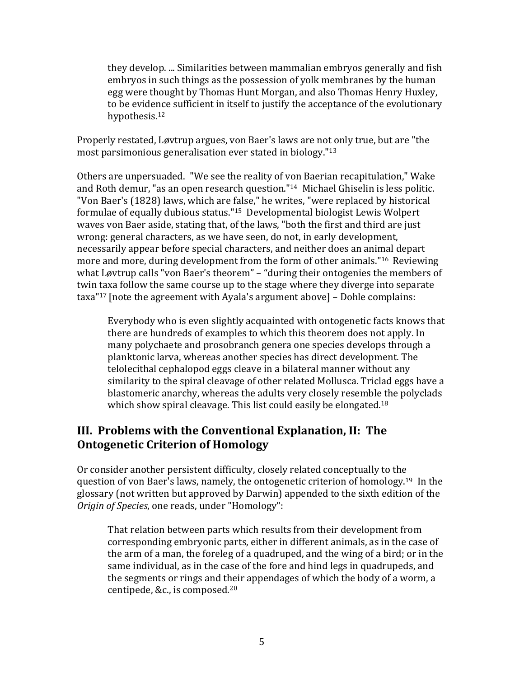they develop. ... Similarities between mammalian embryos generally and fish embryos in such things as the possession of yolk membranes by the human egg were thought by Thomas Hunt Morgan, and also Thomas Henry Huxley, to be evidence sufficient in itself to justify the acceptance of the evolutionary hypothesis.<sup>12</sup>

Properly restated, Løvtrup argues, von Baer's laws are not only true, but are "the most parsimonious generalisation ever stated in biology."<sup>13</sup>

Others are unpersuaded. "We see the reality of von Baerian recapitulation," Wake and Roth demur, "as an open research question."<sup>14</sup> Michael Ghiselin is less politic. "Von Baer's (1828) laws, which are false," he writes, "were replaced by historical formulae of equally dubious status."<sup>15</sup> Developmental biologist Lewis Wolpert waves von Baer aside, stating that, of the laws, "both the first and third are just wrong: general characters, as we have seen, do not, in early development. necessarily appear before special characters, and neither does an animal depart more and more, during development from the form of other animals."<sup>16</sup> Reviewing what Løvtrup calls "von Baer's theorem" - "during their ontogenies the members of twin taxa follow the same course up to the stage where they diverge into separate  $\text{taxa}$ "17 [note the agreement with Ayala's argument above] - Dohle complains:

Everybody who is even slightly acquainted with ontogenetic facts knows that there are hundreds of examples to which this theorem does not apply. In many polychaete and prosobranch genera one species develops through a planktonic larva, whereas another species has direct development. The telolecithal cephalopod eggs cleave in a bilateral manner without any similarity to the spiral cleavage of other related Mollusca. Triclad eggs have a blastomeric anarchy, whereas the adults very closely resemble the polyclads which show spiral cleavage. This list could easily be elongated.<sup>18</sup>

### III. Problems with the Conventional Explanation, II: The **Ontogenetic Criterion of Homology**

Or consider another persistent difficulty, closely related conceptually to the question of von Baer's laws, namely, the ontogenetic criterion of homology.<sup>19</sup> In the glossary (not written but approved by Darwin) appended to the sixth edition of the Origin of Species, one reads, under "Homology":

That relation between parts which results from their development from corresponding embryonic parts, either in different animals, as in the case of the arm of a man, the foreleg of a quadruped, and the wing of a bird; or in the same individual, as in the case of the fore and hind legs in quadrupeds, and the segments or rings and their appendages of which the body of a worm, a centipede, &c., is composed.<sup>20</sup>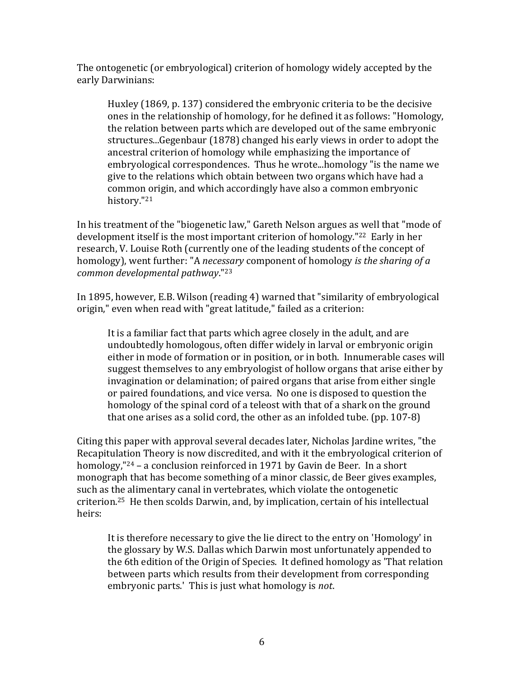The ontogenetic (or embryological) criterion of homology widely accepted by the early Darwinians:

Huxley (1869, p. 137) considered the embryonic criteria to be the decisive ones in the relationship of homology, for he defined it as follows: "Homology, the relation between parts which are developed out of the same embryonic structures...Gegenbaur (1878) changed his early views in order to adopt the ancestral criterion of homology while emphasizing the importance of embryological correspondences. Thus he wrote...homology "is the name we give to the relations which obtain between two organs which have had a common origin, and which accordingly have also a common embryonic history."21

In his treatment of the "biogenetic law," Gareth Nelson argues as well that "mode of development itself is the most important criterion of homology." $^{22}$  Early in her research, V. Louise Roth (currently one of the leading students of the concept of homology), went further: "A *necessary* component of homology *is the sharing of a common%developmental%pathway*."23

In 1895, however, E.B. Wilson (reading 4) warned that "similarity of embryological origin," even when read with "great latitude," failed as a criterion:

It is a familiar fact that parts which agree closely in the adult, and are undoubtedly homologous, often differ widely in larval or embryonic origin either in mode of formation or in position, or in both. Innumerable cases will suggest themselves to any embryologist of hollow organs that arise either by invagination or delamination; of paired organs that arise from either single or paired foundations, and vice versa. No one is disposed to question the homology of the spinal cord of a teleost with that of a shark on the ground that one arises as a solid cord, the other as an infolded tube. (pp.  $107-8$ )

Citing this paper with approval several decades later, Nicholas Jardine writes, "the Recapitulation Theory is now discredited, and with it the embryological criterion of homology,"<sup>24</sup> – a conclusion reinforced in 1971 by Gavin de Beer. In a short monograph that has become something of a minor classic, de Beer gives examples, such as the alimentary canal in vertebrates, which violate the ontogenetic criterion.<sup>25</sup> He then scolds Darwin, and, by implication, certain of his intellectual heirs:

It is therefore necessary to give the lie direct to the entry on 'Homology' in the glossary by W.S. Dallas which Darwin most unfortunately appended to the 6th edition of the Origin of Species. It defined homology as 'That relation between parts which results from their development from corresponding embryonic parts.' This is just what homology is *not*.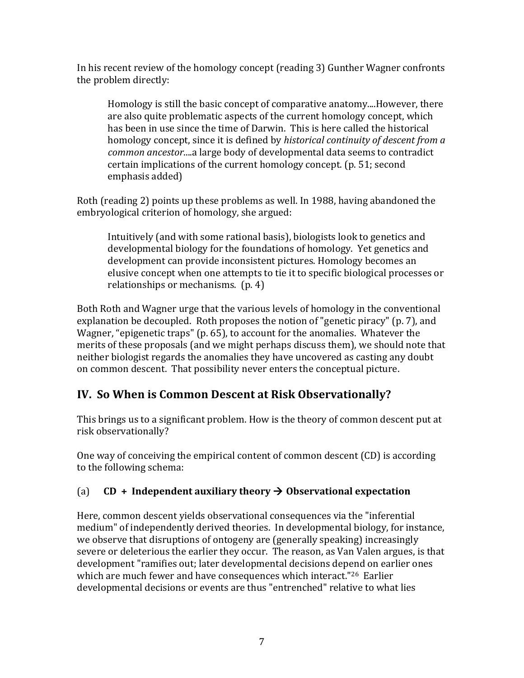In his recent review of the homology concept (reading 3) Gunther Wagner confronts the problem directly:

Homology is still the basic concept of comparative anatomy....However, there are also quite problematic aspects of the current homology concept, which has been in use since the time of Darwin. This is here called the historical homology concept, since it is defined by *historical continuity of descent from a common ancestor....a* large body of developmental data seems to contradict certain implications of the current homology concept. (p. 51; second emphasis added)

Roth (reading 2) points up these problems as well. In 1988, having abandoned the embryological criterion of homology, she argued:

Intuitively (and with some rational basis), biologists look to genetics and developmental biology for the foundations of homology. Yet genetics and development can provide inconsistent pictures. Homology becomes an elusive concept when one attempts to tie it to specific biological processes or relationships or mechanisms.  $(p. 4)$ 

Both Roth and Wagner urge that the various levels of homology in the conventional explanation be decoupled. Roth proposes the notion of "genetic piracy" (p. 7), and Wagner, "epigenetic traps" (p. 65), to account for the anomalies. Whatever the merits of these proposals (and we might perhaps discuss them), we should note that neither biologist regards the anomalies they have uncovered as casting any doubt on common descent. That possibility never enters the conceptual picture.

## **IV. So When is Common Descent at Risk Observationally?**

This brings us to a significant problem. How is the theory of common descent put at risk observationally?

One way of conceiving the empirical content of common descent  $(CD)$  is according to the following schema:

### (a)  $CD + Independent auxiliary theory  $\rightarrow$  Observational expectation$

Here, common descent yields observational consequences via the "inferential" medium" of independently derived theories. In developmental biology, for instance, we observe that disruptions of ontogeny are (generally speaking) increasingly severe or deleterious the earlier they occur. The reason, as Van Valen argues, is that development "ramifies out; later developmental decisions depend on earlier ones which are much fewer and have consequences which interact."<sup>26</sup> Earlier developmental decisions or events are thus "entrenched" relative to what lies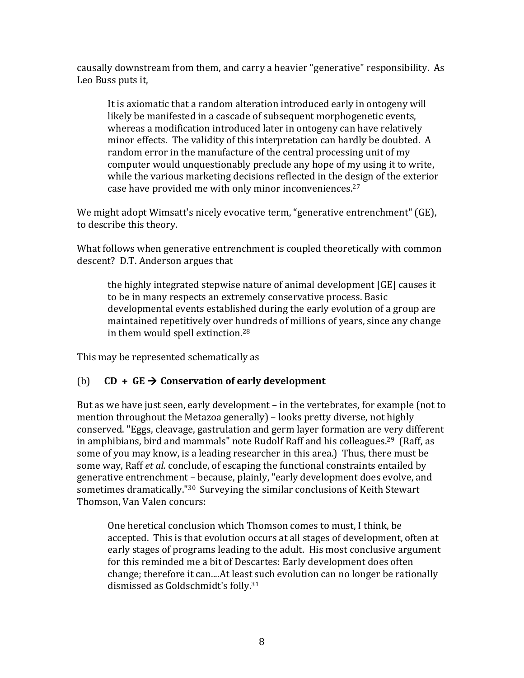causally downstream from them, and carry a heavier "generative" responsibility. As Leo Buss puts it,

It is axiomatic that a random alteration introduced early in ontogeny will likely be manifested in a cascade of subsequent morphogenetic events, whereas a modification introduced later in ontogeny can have relatively minor effects. The validity of this interpretation can hardly be doubted. A random error in the manufacture of the central processing unit of my computer would unquestionably preclude any hope of my using it to write. while the various marketing decisions reflected in the design of the exterior case have provided me with only minor inconveniences. $27$ 

We might adopt Wimsatt's nicely evocative term, "generative entrenchment" (GE), to describe this theory.

What follows when generative entrenchment is coupled theoretically with common descent? D.T. Anderson argues that

the highly integrated stepwise nature of animal development  $[GE]$  causes it  $[GE]$ to be in many respects an extremely conservative process. Basic developmental events established during the early evolution of a group are maintained repetitively over hundreds of millions of years, since any change in them would spell extinction.<sup>28</sup>

This may be represented schematically as

### (b)  $CD + GE \rightarrow Conservation of early development$

But as we have just seen, early development – in the vertebrates, for example (not to mention throughout the Metazoa generally) – looks pretty diverse, not highly conserved. "Eggs, cleavage, gastrulation and germ layer formation are very different in amphibians, bird and mammals" note Rudolf Raff and his colleagues.<sup>29</sup> (Raff, as some of you may know, is a leading researcher in this area.) Thus, there must be some way, Raff *et al.* conclude, of escaping the functional constraints entailed by generative entrenchment – because, plainly, "early development does evolve, and sometimes dramatically."<sup>30</sup> Surveying the similar conclusions of Keith Stewart Thomson, Van Valen concurs:

One heretical conclusion which Thomson comes to must, I think, be accepted. This is that evolution occurs at all stages of development, often at early stages of programs leading to the adult. His most conclusive argument for this reminded me a bit of Descartes: Early development does often change; therefore it can....At least such evolution can no longer be rationally dismissed as Goldschmidt's folly.<sup>31</sup>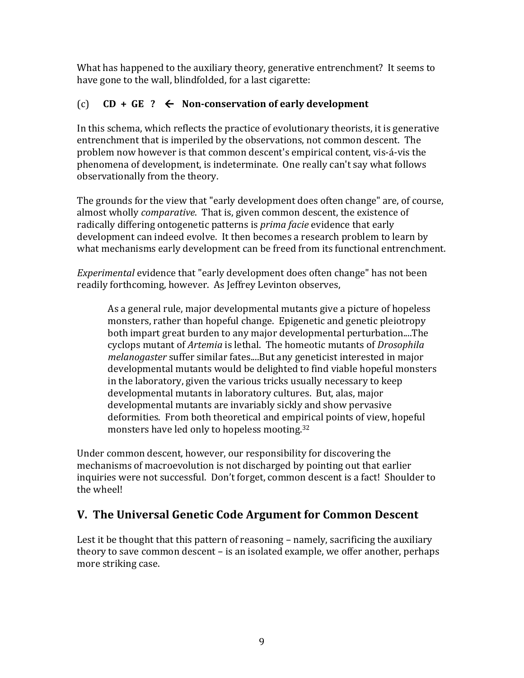What has happened to the auxiliary theory, generative entrenchment? It seems to have gone to the wall, blindfolded, for a last cigarette:

#### $CD + GE$  ?  $\leftarrow$  Non-conservation of early development  $(c)$

In this schema, which reflects the practice of evolutionary theorists, it is generative entrenchment that is imperiled by the observations, not common descent. The problem now however is that common descent's empirical content, vis-á-vis the phenomena of development, is indeterminate. One really can't say what follows observationally from the theory.

The grounds for the view that "early development does often change" are, of course, almost wholly *comparative*. That is, given common descent, the existence of radically differing ontogenetic patterns is *prima facie* evidence that early development can indeed evolve. It then becomes a research problem to learn by what mechanisms early development can be freed from its functional entrenchment.

*Experimental* evidence that "early development does often change" has not been readily forthcoming, however. As Jeffrey Levinton observes,

As a general rule, major developmental mutants give a picture of hopeless monsters, rather than hopeful change. Epigenetic and genetic pleiotropy both impart great burden to any major developmental perturbation....The cyclops mutant of Artemia is lethal. The homeotic mutants of Drosophila melanogaster suffer similar fates....But any geneticist interested in major developmental mutants would be delighted to find viable hopeful monsters in the laboratory, given the various tricks usually necessary to keep developmental mutants in laboratory cultures. But, alas, major developmental mutants are invariably sickly and show pervasive deformities. From both theoretical and empirical points of view, hopeful monsters have led only to hopeless mooting.<sup>32</sup>

Under common descent, however, our responsibility for discovering the mechanisms of macroevolution is not discharged by pointing out that earlier inquiries were not successful. Don't forget, common descent is a fact! Shoulder to the wheel!

## V. The Universal Genetic Code Argument for Common Descent

Lest it be thought that this pattern of reasoning – namely, sacrificing the auxiliary theory to save common descent – is an isolated example, we offer another, perhaps more striking case.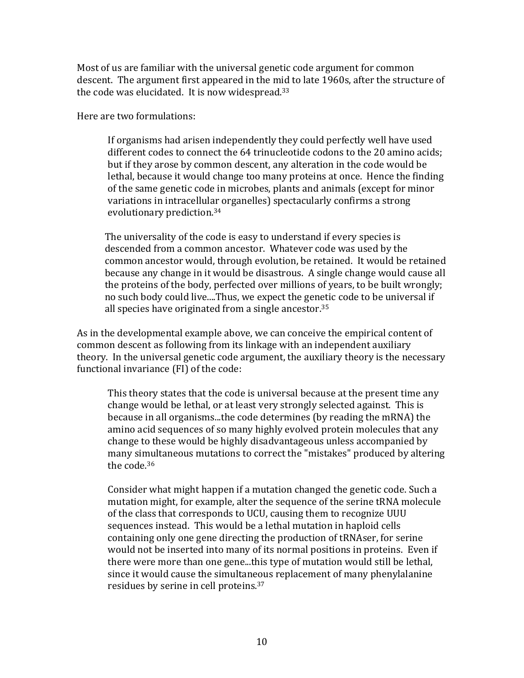Most of us are familiar with the universal genetic code argument for common descent. The argument first appeared in the mid to late 1960s, after the structure of the code was elucidated. It is now widespread. $33$ 

Here are two formulations:

If organisms had arisen independently they could perfectly well have used different codes to connect the 64 trinucleotide codons to the 20 amino acids; but if they arose by common descent, any alteration in the code would be lethal, because it would change too many proteins at once. Hence the finding of the same genetic code in microbes, plants and animals (except for minor variations in intracellular organelles) spectacularly confirms a strong evolutionary prediction.<sup>34</sup>

The universality of the code is easy to understand if every species is descended from a common ancestor. Whatever code was used by the common ancestor would, through evolution, be retained. It would be retained because any change in it would be disastrous. A single change would cause all the proteins of the body, perfected over millions of years, to be built wrongly; no such body could live....Thus, we expect the genetic code to be universal if all species have originated from a single ancestor. $35$ 

As in the developmental example above, we can conceive the empirical content of common descent as following from its linkage with an independent auxiliary theory. In the universal genetic code argument, the auxiliary theory is the necessary functional invariance (FI) of the code:

This theory states that the code is universal because at the present time any change would be lethal, or at least very strongly selected against. This is because in all organisms...the code determines (by reading the mRNA) the amino acid sequences of so many highly evolved protein molecules that any change to these would be highly disadvantageous unless accompanied by many simultaneous mutations to correct the "mistakes" produced by altering the code.<sup>36</sup>

Consider what might happen if a mutation changed the genetic code. Such a mutation might, for example, alter the sequence of the serine tRNA molecule of the class that corresponds to UCU, causing them to recognize UUU sequences instead. This would be a lethal mutation in haploid cells containing only one gene directing the production of tRNAser, for serine would not be inserted into many of its normal positions in proteins. Even if there were more than one gene...this type of mutation would still be lethal, since it would cause the simultaneous replacement of many phenylalanine residues by serine in cell proteins.<sup>37</sup>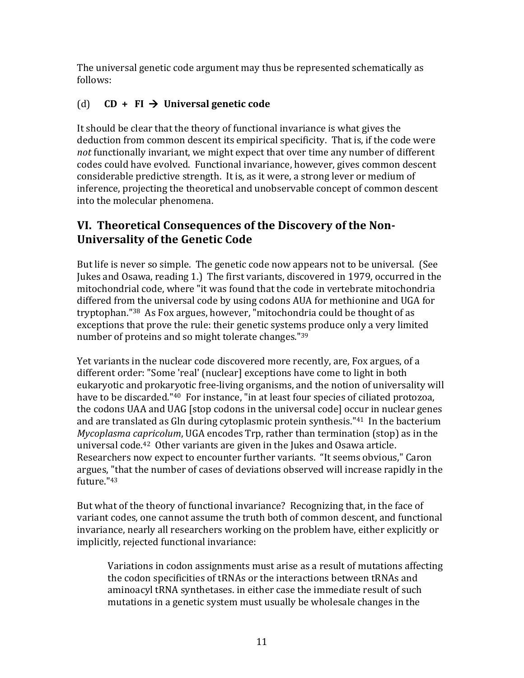The universal genetic code argument may thus be represented schematically as follows:

### (d)  $CD + FI \rightarrow Universal genetic code$

It should be clear that the theory of functional invariance is what gives the deduction from common descent its empirical specificity. That is, if the code were *not* functionally invariant, we might expect that over time any number of different codes could have evolved. Functional invariance, however, gives common descent considerable predictive strength. It is, as it were, a strong lever or medium of inference, projecting the theoretical and unobservable concept of common descent into the molecular phenomena.

### **VI. Theoretical Consequences of the Discovery of the Non-Universality of the Genetic Code**

But life is never so simple. The genetic code now appears not to be universal. (See Jukes and Osawa, reading 1.) The first variants, discovered in 1979, occurred in the mitochondrial code, where "it was found that the code in vertebrate mitochondria" differed from the universal code by using codons AUA for methionine and UGA for tryptophan."<sup>38</sup> As Fox argues, however, "mitochondria could be thought of as exceptions that prove the rule: their genetic systems produce only a very limited number of proteins and so might tolerate changes."39

Yet variants in the nuclear code discovered more recently, are, Fox argues, of a different order: "Some 'real' (nuclear] exceptions have come to light in both eukaryotic and prokaryotic free-living organisms, and the notion of universality will have to be discarded."<sup>40</sup> For instance, "in at least four species of ciliated protozoa, the codons UAA and UAG [stop codons in the universal code] occur in nuclear genes and are translated as Gln during cytoplasmic protein synthesis." $41$  In the bacterium *Mycoplasma capricolum*, UGA encodes Trp, rather than termination (stop) as in the universal code.<sup>42</sup> Other variants are given in the Jukes and Osawa article. Researchers now expect to encounter further variants. "It seems obvious," Caron argues, "that the number of cases of deviations observed will increase rapidly in the future."43

But what of the theory of functional invariance? Recognizing that, in the face of variant codes, one cannot assume the truth both of common descent, and functional invariance, nearly all researchers working on the problem have, either explicitly or implicitly, rejected functional invariance:

Variations in codon assignments must arise as a result of mutations affecting the codon specificities of tRNAs or the interactions between tRNAs and aminoacyl tRNA synthetases. in either case the immediate result of such mutations in a genetic system must usually be wholesale changes in the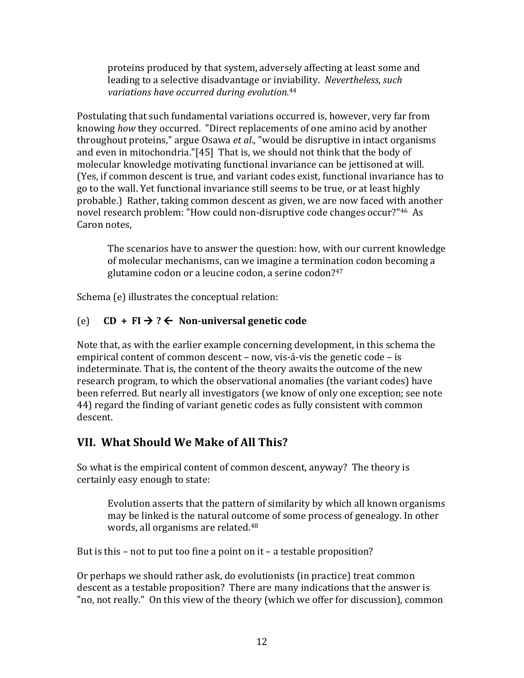proteins produced by that system, adversely affecting at least some and leading to a selective disadvantage or inviability. Nevertheless, such variations have occurred during evolution.<sup>44</sup>

Postulating that such fundamental variations occurred is, however, very far from knowing how they occurred. "Direct replacements of one amino acid by another throughout proteins," argue Osawa et al., "would be disruptive in intact organisms and even in mitochondria."[45] That is, we should not think that the body of molecular knowledge motivating functional invariance can be jettisoned at will. (Yes, if common descent is true, and variant codes exist, functional invariance has to go to the wall. Yet functional invariance still seems to be true, or at least highly probable.) Rather, taking common descent as given, we are now faced with another novel research problem: "How could non-disruptive code changes occur?"<sup>46</sup> As Caron notes.

The scenarios have to answer the question: how, with our current knowledge of molecular mechanisms, can we imagine a termination codon becoming a glutamine codon or a leucine codon, a serine codon?<sup>47</sup>

Schema (e) illustrates the conceptual relation:

#### $CD + FI \rightarrow ? \leftarrow$  Non-universal genetic code  $(e)$

Note that, as with the earlier example concerning development, in this schema the empirical content of common descent – now, vis-á-vis the genetic code – is indeterminate. That is, the content of the theory awaits the outcome of the new research program, to which the observational anomalies (the variant codes) have been referred. But nearly all investigators (we know of only one exception: see note 44) regard the finding of variant genetic codes as fully consistent with common descent.

## VII. What Should We Make of All This?

So what is the empirical content of common descent, anyway? The theory is certainly easy enough to state:

Evolution asserts that the pattern of similarity by which all known organisms may be linked is the natural outcome of some process of genealogy. In other words, all organisms are related.<sup>48</sup>

But is this – not to put too fine a point on  $it$  – a testable proposition?

Or perhaps we should rather ask, do evolutionists (in practice) treat common descent as a testable proposition? There are many indications that the answer is "no, not really." On this view of the theory (which we offer for discussion), common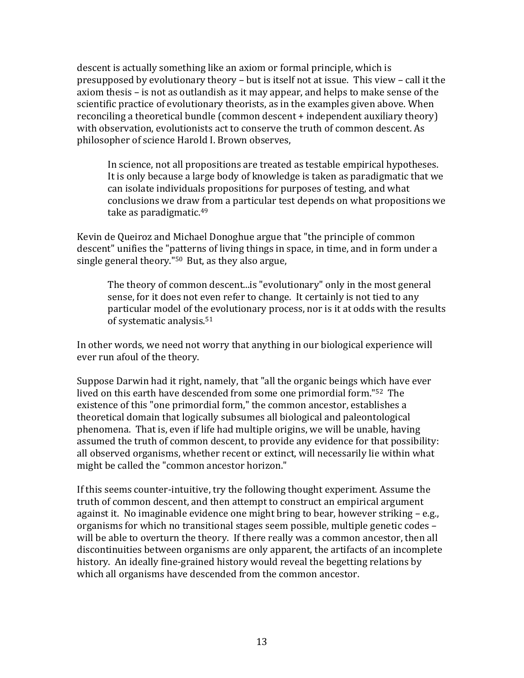descent is actually something like an axiom or formal principle, which is presupposed by evolutionary theory – but is itself not at issue. This view – call it the axiom thesis – is not as outlandish as it may appear, and helps to make sense of the scientific practice of evolutionary theorists, as in the examples given above. When reconciling a theoretical bundle (common descent + independent auxiliary theory) with observation, evolutionists act to conserve the truth of common descent. As philosopher of science Harold I. Brown observes,

In science, not all propositions are treated as testable empirical hypotheses. It is only because a large body of knowledge is taken as paradigmatic that we can isolate individuals propositions for purposes of testing, and what conclusions we draw from a particular test depends on what propositions we take as paradigmatic.<sup>49</sup>

Kevin de Queiroz and Michael Donoghue argue that "the principle of common descent" unifies the "patterns of living things in space, in time, and in form under a single general theory." $50$  But, as they also argue,

The theory of common descent...is "evolutionary" only in the most general sense, for it does not even refer to change. It certainly is not tied to any particular model of the evolutionary process, nor is it at odds with the results of systematic analysis.<sup>51</sup>

In other words, we need not worry that anything in our biological experience will ever run afoul of the theory.

Suppose Darwin had it right, namely, that "all the organic beings which have ever lived on this earth have descended from some one primordial form."<sup>52</sup> The existence of this "one primordial form," the common ancestor, establishes a theoretical domain that logically subsumes all biological and paleontological phenomena. That is, even if life had multiple origins, we will be unable, having assumed the truth of common descent, to provide any evidence for that possibility: all observed organisms, whether recent or extinct, will necessarily lie within what might be called the "common ancestor horizon."

If this seems counter-intuitive, try the following thought experiment. Assume the truth of common descent, and then attempt to construct an empirical argument against it. No imaginable evidence one might bring to bear, however striking – e.g., organisms for which no transitional stages seem possible, multiple genetic codes – will be able to overturn the theory. If there really was a common ancestor, then all discontinuities between organisms are only apparent, the artifacts of an incomplete history. An ideally fine-grained history would reveal the begetting relations by which all organisms have descended from the common ancestor.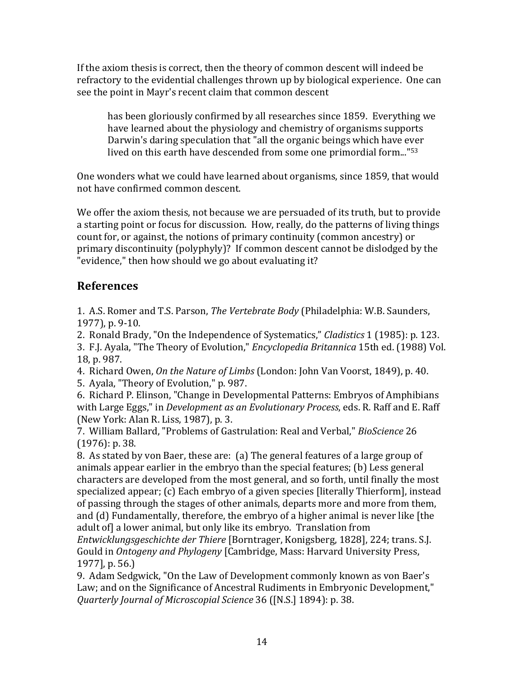If the axiom thesis is correct, then the theory of common descent will indeed be refractory to the evidential challenges thrown up by biological experience. One can see the point in Mayr's recent claim that common descent

has been gloriously confirmed by all researches since 1859. Everything we have learned about the physiology and chemistry of organisms supports Darwin's daring speculation that "all the organic beings which have ever lived on this earth have descended from some one primordial form..." $53$ 

One wonders what we could have learned about organisms, since 1859, that would not have confirmed common descent.

We offer the axiom thesis, not because we are persuaded of its truth, but to provide a starting point or focus for discussion. How, really, do the patterns of living things count for, or against, the notions of primary continuity (common ancestry) or primary discontinuity (polyphyly)? If common descent cannot be dislodged by the "evidence," then how should we go about evaluating it?

### **References**

1. A.S. Romer and T.S. Parson, *The Vertebrate Body* (Philadelphia: W.B. Saunders, 1977), p. 9-10.

2. Ronald Brady, "On the Independence of Systematics," *Cladistics* 1 (1985): p. 123.

3. F.J. Ayala, "The Theory of Evolution," *Encyclopedia Britannica* 15th ed. (1988) Vol. 18, p. 987.

4. Richard Owen, *On the Nature of Limbs* (London: John Van Voorst, 1849), p. 40.

5. Ayala, "Theory of Evolution," p. 987.

6. Richard P. Elinson, "Change in Developmental Patterns: Embryos of Amphibians with Large Eggs," in *Development as an Evolutionary Process*, eds. R. Raff and E. Raff (New York: Alan R. Liss, 1987), p. 3.

7. William Ballard, "Problems of Gastrulation: Real and Verbal," *BioScience* 26  $(1976): p. 38.$ 

8. As stated by von Baer, these are: (a) The general features of a large group of animals appear earlier in the embryo than the special features; (b) Less general characters are developed from the most general, and so forth, until finally the most specialized appear; (c) Each embryo of a given species [literally Thierform], instead of passing through the stages of other animals, departs more and more from them, and (d) Fundamentally, therefore, the embryo of a higher animal is never like [the adult of] a lower animal, but only like its embryo. Translation from *Entwicklungsgeschichte der Thiere* [Borntrager, Konigsberg, 1828], 224; trans. S.J. Gould in *Ontogeny and Phylogeny* [Cambridge, Mass: Harvard University Press, 1977], p. 56.)

9. Adam Sedgwick, "On the Law of Development commonly known as von Baer's Law; and on the Significance of Ancestral Rudiments in Embryonic Development," *Quarterly Journal of Microscopial Science* 36 ([N.S.] 1894): p. 38.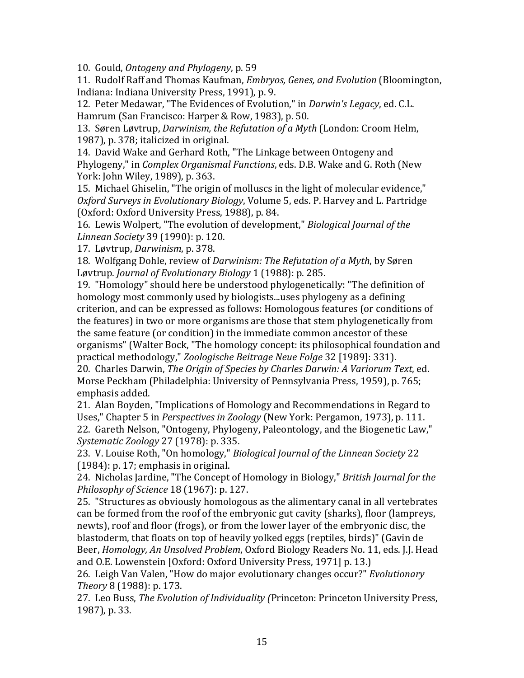10. Gould, *Ontogeny and Phylogeny*, p. 59

11. Rudolf Raff and Thomas Kaufman, *Embryos, Genes, and Evolution* (Bloomington, Indiana: Indiana University Press, 1991), p. 9.

12. Peter Medawar, "The Evidences of Evolution," in *Darwin's Legacy*, ed. C.L. Hamrum (San Francisco: Harper & Row, 1983), p. 50.

13. Søren Løvtrup, *Darwinism, the Refutation of a Myth* (London: Croom Helm, 1987), p. 378; italicized in original.

14. David Wake and Gerhard Roth, "The Linkage between Ontogeny and Phylogeny," in *Complex Organismal Functions*, eds. D.B. Wake and G. Roth (New York: John Wiley, 1989), p. 363.

15. Michael Ghiselin, "The origin of molluscs in the light of molecular evidence," *Oxford Surveys in Evolutionary Biology*, Volume 5, eds. P. Harvey and L. Partridge (Oxford: Oxford University Press, 1988), p. 84.

16. Lewis Wolpert, "The evolution of development," *Biological Journal of the Linnean Society* 39 (1990): p. 120.

17. Løvtrup, *Darwinism*, p. 378.

18. Wolfgang Dohle, review of *Darwinism: The Refutation of a Myth*, by Søren Løvtrup. *Journal of Evolutionary Biology* 1 (1988): p. 285.

19. "Homology" should here be understood phylogenetically: "The definition of homology most commonly used by biologists...uses phylogeny as a defining criterion, and can be expressed as follows: Homologous features (or conditions of the features) in two or more organisms are those that stem phylogenetically from the same feature (or condition) in the immediate common ancestor of these organisms" (Walter Bock, "The homology concept: its philosophical foundation and practical methodology," Zoologische Beitrage Neue Folge 32 [1989]: 331).

20. Charles Darwin, *The Origin of Species by Charles Darwin: A Variorum Text*, ed. Morse Peckham (Philadelphia: University of Pennsylvania Press, 1959), p. 765; emphasis added.

21. Alan Boyden, "Implications of Homology and Recommendations in Regard to Uses," Chapter 5 in *Perspectives in Zoology* (New York: Pergamon, 1973), p. 111.

22. Gareth Nelson, "Ontogeny, Phylogeny, Paleontology, and the Biogenetic Law," *Systematic Zoology* 27 (1978): p. 335.

23. V. Louise Roth, "On homology," *Biological Journal of the Linnean Society* 22  $(1984): p. 17;$  emphasis in original.

24. Nicholas Jardine, "The Concept of Homology in Biology," *British Journal for the Philosophy of Science* 18 (1967): p. 127.

25. "Structures as obviously homologous as the alimentary canal in all vertebrates can be formed from the roof of the embryonic gut cavity (sharks), floor (lampreys, newts), roof and floor (frogs), or from the lower layer of the embryonic disc, the blastoderm, that floats on top of heavily yolked eggs (reptiles, birds)" (Gavin de Beer, *Homology, An Unsolved Problem*, Oxford Biology Readers No. 11, eds. J.J. Head and O.E. Lowenstein [Oxford: Oxford University Press, 1971] p. 13.)

26. Leigh Van Valen, "How do major evolutionary changes occur?" *Evolutionary Theory* 8 (1988): p. 173.

27. Leo Buss, *The Evolution of Individuality (Princeton: Princeton University Press,* 1987), p. 33.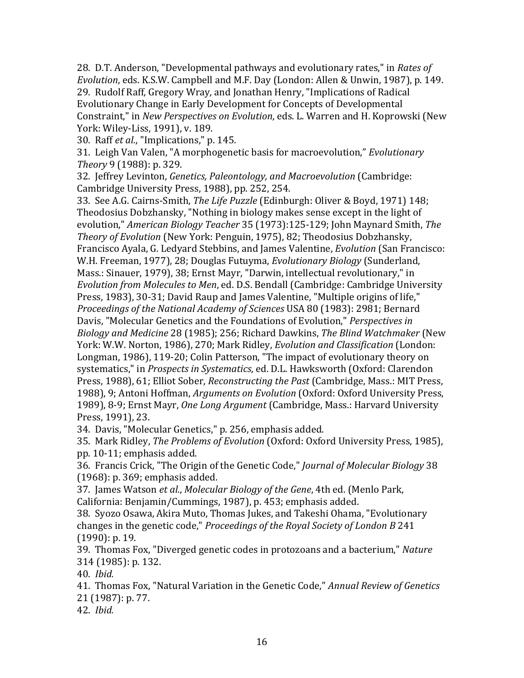28. D.T. Anderson, "Developmental pathways and evolutionary rates," in *Rates of Evolution*, eds. K.S.W. Campbell and M.F. Day (London: Allen & Unwin, 1987), p. 149. 29. Rudolf Raff, Gregory Wray, and Jonathan Henry, "Implications of Radical Evolutionary Change in Early Development for Concepts of Developmental Constraint," in *New Perspectives on Evolution*, eds. L. Warren and H. Koprowski (New York: Wiley-Liss, 1991), v. 189.

30. Raff *et al.*, "Implications," p. 145.

31. Leigh Van Valen, "A morphogenetic basis for macroevolution," *Evolutionary Theory* 9 (1988): p. 329.

32. Jeffrey Levinton, *Genetics, Paleontology, and Macroevolution* (Cambridge: Cambridge University Press, 1988), pp. 252, 254.

33. See A.G. Cairns-Smith, *The Life Puzzle* (Edinburgh: Oliver & Boyd, 1971) 148; Theodosius Dobzhansky, "Nothing in biology makes sense except in the light of evolution," *American Biology Teacher* 35 (1973):125-129; John Maynard Smith, *The Theory of Evolution* (New York: Penguin, 1975), 82; Theodosius Dobzhansky, Francisco Ayala, G. Ledyard Stebbins, and James Valentine, *Evolution* (San Francisco: W.H. Freeman, 1977), 28; Douglas Futuyma, *Evolutionary Biology* (Sunderland, Mass.: Sinauer, 1979), 38; Ernst Mayr, "Darwin, intellectual revolutionary," in *Evolution from Molecules to Men, ed. D.S. Bendall (Cambridge: Cambridge University* Press, 1983), 30-31; David Raup and James Valentine, "Multiple origins of life," *Proceedings of the National Academy of Sciences USA 80 (1983): 2981; Bernard* Davis, "Molecular Genetics and the Foundations of Evolution," *Perspectives in Biology%and%Medicine%*28!(1985);!256;!Richard!Dawkins,!*The%Blind%Watchmaker*!(New! York: W.W. Norton, 1986), 270; Mark Ridley, *Evolution and Classification* (London: Longman, 1986), 119-20; Colin Patterson, "The impact of evolutionary theory on systematics," in *Prospects in Systematics*, ed. D.L. Hawksworth (Oxford: Clarendon Press, 1988), 61; Elliot Sober, *Reconstructing the Past* (Cambridge, Mass.: MIT Press, 1988), 9; Antoni Hoffman, *Arguments on Evolution* (Oxford: Oxford University Press, 1989), 8-9; Ernst Mayr, *One Long Argument* (Cambridge, Mass.: Harvard University Press, 1991), 23.

34. Davis, "Molecular Genetics," p. 256, emphasis added.

35. Mark Ridley, *The Problems of Evolution* (Oxford: Oxford University Press, 1985), pp. 10-11; emphasis added.

36. Francis Crick, "The Origin of the Genetic Code," *Journal of Molecular Biology* 38  $(1968): p. 369;$  emphasis added.

37. James Watson et al., *Molecular Biology of the Gene*, 4th ed. (Menlo Park, California: Benjamin/Cummings, 1987), p. 453; emphasis added.

38. Syozo Osawa, Akira Muto, Thomas Jukes, and Takeshi Ohama, "Evolutionary changes in the genetic code," *Proceedings of the Royal Society of London B* 241  $(1990): p. 19.$ 

39. Thomas Fox, "Diverged genetic codes in protozoans and a bacterium," *Nature* 314 (1985): p. 132.

40. *Ibid.* 

41. Thomas Fox, "Natural Variation in the Genetic Code," *Annual Review of Genetics* 21 (1987): p. 77.

42.!!*Ibid.*